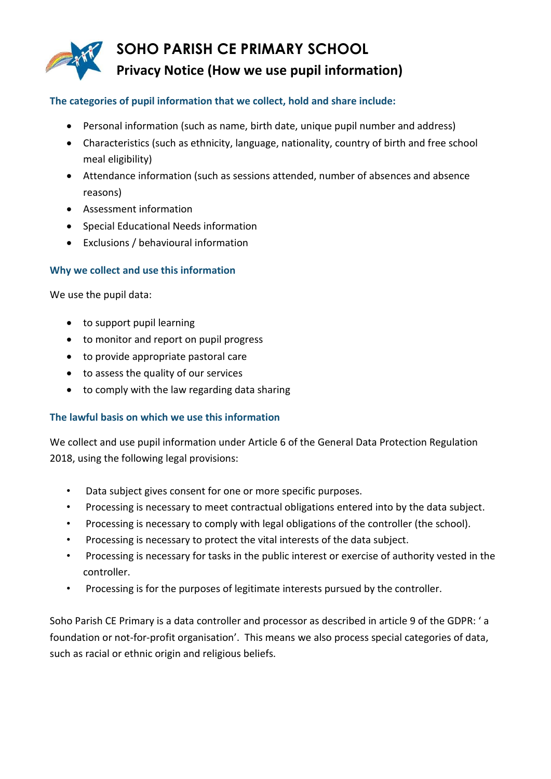

#### **The categories of pupil information that we collect, hold and share include:**

- Personal information (such as name, birth date, unique pupil number and address)
- Characteristics (such as ethnicity, language, nationality, country of birth and free school meal eligibility)
- Attendance information (such as sessions attended, number of absences and absence reasons)
- Assessment information
- Special Educational Needs information
- Exclusions / behavioural information

## **Why we collect and use this information**

We use the pupil data:

- to support pupil learning
- to monitor and report on pupil progress
- to provide appropriate pastoral care
- to assess the quality of our services
- to comply with the law regarding data sharing

## **The lawful basis on which we use this information**

We collect and use pupil information under Article 6 of the General Data Protection Regulation 2018, using the following legal provisions:

- Data subject gives consent for one or more specific purposes.
- Processing is necessary to meet contractual obligations entered into by the data subject.
- Processing is necessary to comply with legal obligations of the controller (the school).
- Processing is necessary to protect the vital interests of the data subject.
- Processing is necessary for tasks in the public interest or exercise of authority vested in the controller.
- Processing is for the purposes of legitimate interests pursued by the controller.

Soho Parish CE Primary is a data controller and processor as described in article 9 of the GDPR: ' a foundation or not-for-profit organisation'. This means we also process special categories of data, such as racial or ethnic origin and religious beliefs.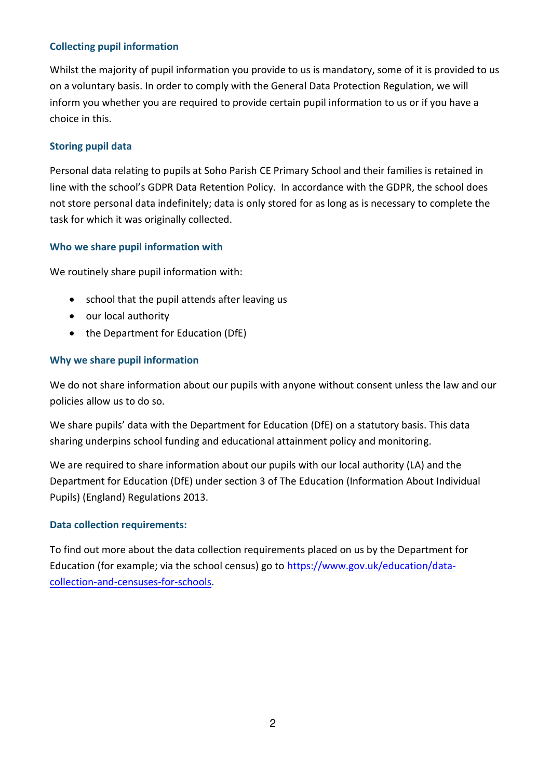# **Collecting pupil information**

Whilst the majority of pupil information you provide to us is mandatory, some of it is provided to us on a voluntary basis. In order to comply with the General Data Protection Regulation, we will inform you whether you are required to provide certain pupil information to us or if you have a choice in this.

## **Storing pupil data**

Personal data relating to pupils at Soho Parish CE Primary School and their families is retained in line with the school's GDPR Data Retention Policy. In accordance with the GDPR, the school does not store personal data indefinitely; data is only stored for as long as is necessary to complete the task for which it was originally collected.

# **Who we share pupil information with**

We routinely share pupil information with:

- school that the pupil attends after leaving us
- our local authority
- the Department for Education (DfE)

## **Why we share pupil information**

We do not share information about our pupils with anyone without consent unless the law and our policies allow us to do so.

We share pupils' data with the Department for Education (DfE) on a statutory basis. This data sharing underpins school funding and educational attainment policy and monitoring.

We are required to share information about our pupils with our local authority (LA) and the Department for Education (DfE) under section 3 of The Education (Information About Individual Pupils) (England) Regulations 2013.

## **Data collection requirements:**

To find out more about the data collection requirements placed on us by the Department for Education (for example; via the school census) go to [https://www.gov.uk/education/data](https://www.gov.uk/education/data-collection-and-censuses-for-schools)[collection-and-censuses-for-schools.](https://www.gov.uk/education/data-collection-and-censuses-for-schools)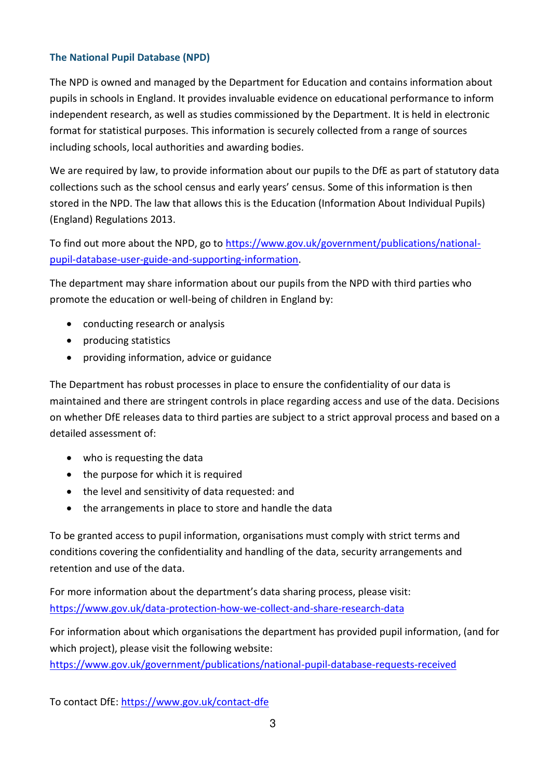# **The National Pupil Database (NPD)**

The NPD is owned and managed by the Department for Education and contains information about pupils in schools in England. It provides invaluable evidence on educational performance to inform independent research, as well as studies commissioned by the Department. It is held in electronic format for statistical purposes. This information is securely collected from a range of sources including schools, local authorities and awarding bodies.

We are required by law, to provide information about our pupils to the DfE as part of statutory data collections such as the school census and early years' census. Some of this information is then stored in the NPD. The law that allows this is the Education (Information About Individual Pupils) (England) Regulations 2013.

To find out more about the NPD, go to [https://www.gov.uk/government/publications/national](https://www.gov.uk/government/publications/national-pupil-database-user-guide-and-supporting-information)[pupil-database-user-guide-and-supporting-information.](https://www.gov.uk/government/publications/national-pupil-database-user-guide-and-supporting-information)

The department may share information about our pupils from the NPD with third parties who promote the education or well-being of children in England by:

- conducting research or analysis
- producing statistics
- providing information, advice or guidance

The Department has robust processes in place to ensure the confidentiality of our data is maintained and there are stringent controls in place regarding access and use of the data. Decisions on whether DfE releases data to third parties are subject to a strict approval process and based on a detailed assessment of:

- who is requesting the data
- the purpose for which it is required
- the level and sensitivity of data requested: and
- the arrangements in place to store and handle the data

To be granted access to pupil information, organisations must comply with strict terms and conditions covering the confidentiality and handling of the data, security arrangements and retention and use of the data.

For more information about the department's data sharing process, please visit: <https://www.gov.uk/data-protection-how-we-collect-and-share-research-data>

For information about which organisations the department has provided pupil information, (and for which project), please visit the following website: <https://www.gov.uk/government/publications/national-pupil-database-requests-received>

To contact DfE:<https://www.gov.uk/contact-dfe>